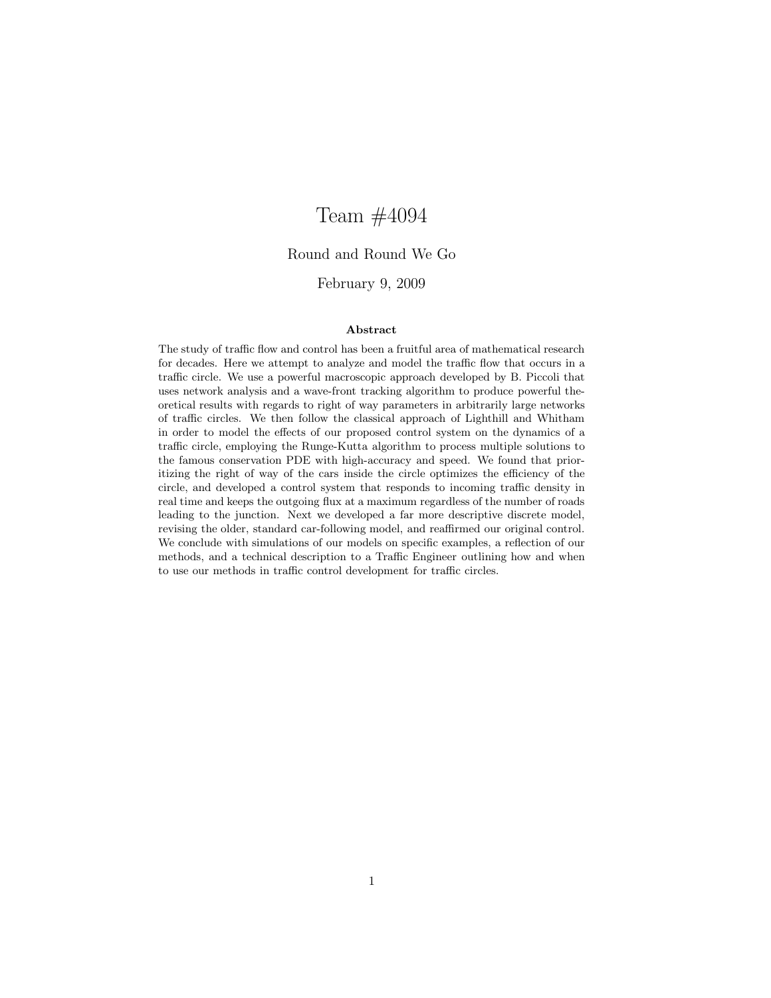## Team #4094

#### Round and Round We Go

#### February 9, 2009

#### Abstract

The study of traffic flow and control has been a fruitful area of mathematical research for decades. Here we attempt to analyze and model the traffic flow that occurs in a traffic circle. We use a powerful macroscopic approach developed by B. Piccoli that uses network analysis and a wave-front tracking algorithm to produce powerful theoretical results with regards to right of way parameters in arbitrarily large networks of traffic circles. We then follow the classical approach of Lighthill and Whitham in order to model the effects of our proposed control system on the dynamics of a traffic circle, employing the Runge-Kutta algorithm to process multiple solutions to the famous conservation PDE with high-accuracy and speed. We found that prioritizing the right of way of the cars inside the circle optimizes the efficiency of the circle, and developed a control system that responds to incoming traffic density in real time and keeps the outgoing flux at a maximum regardless of the number of roads leading to the junction. Next we developed a far more descriptive discrete model, revising the older, standard car-following model, and reaffirmed our original control. We conclude with simulations of our models on specific examples, a reflection of our methods, and a technical description to a Traffic Engineer outlining how and when to use our methods in traffic control development for traffic circles.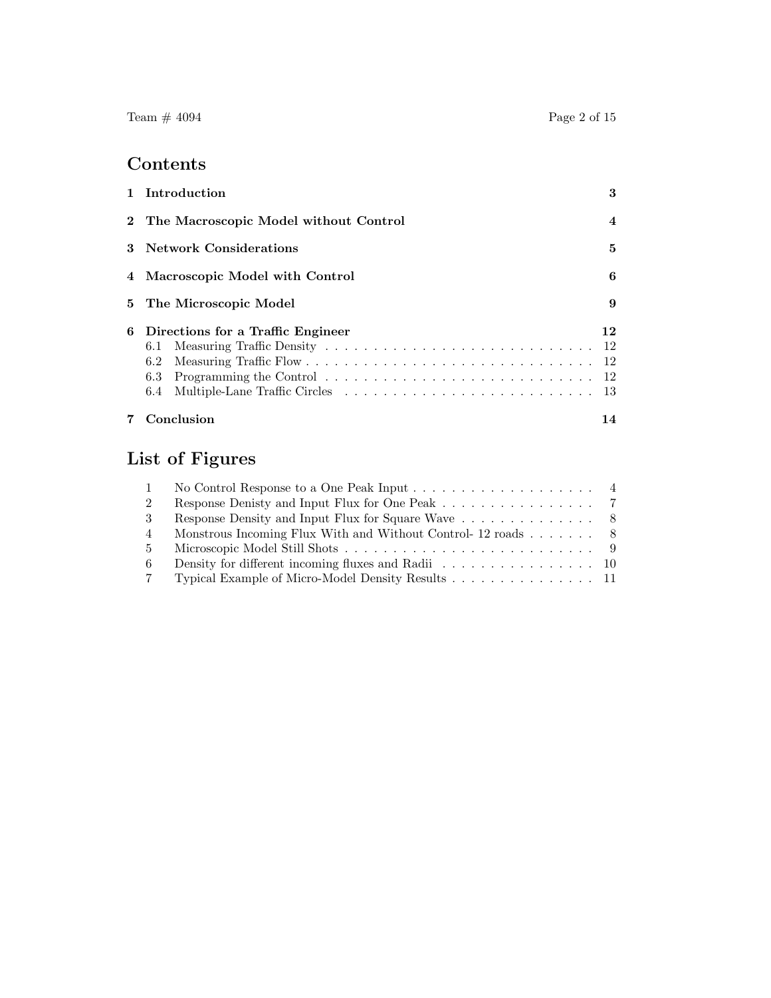# Contents

| 1 Introduction                                    | 3                |
|---------------------------------------------------|------------------|
| 2 The Macroscopic Model without Control           | $\boldsymbol{4}$ |
| 3 Network Considerations                          | 5                |
| 4 Macroscopic Model with Control                  | 6                |
| 5 The Microscopic Model                           | 9                |
| 6 Directions for a Traffic Engineer<br>6.1<br>6.2 | 12<br>- 12       |
| Conclusion                                        | 14               |

# List of Figures

|                | No Control Response to a One Peak Input $\dots \dots \dots \dots \dots \dots \dots$            |  |
|----------------|------------------------------------------------------------------------------------------------|--|
| 2              |                                                                                                |  |
| $\mathcal{S}$  |                                                                                                |  |
| $\overline{4}$ | Monstrous Incoming Flux With and Without Control- 12 roads $\dots \dots$ 8                     |  |
| 5 <sup>5</sup> |                                                                                                |  |
| -6             | Density for different incoming fluxes and Radii $\ldots \ldots \ldots \ldots \ldots \ldots$ 10 |  |
| 7              | Typical Example of Micro-Model Density Results 11                                              |  |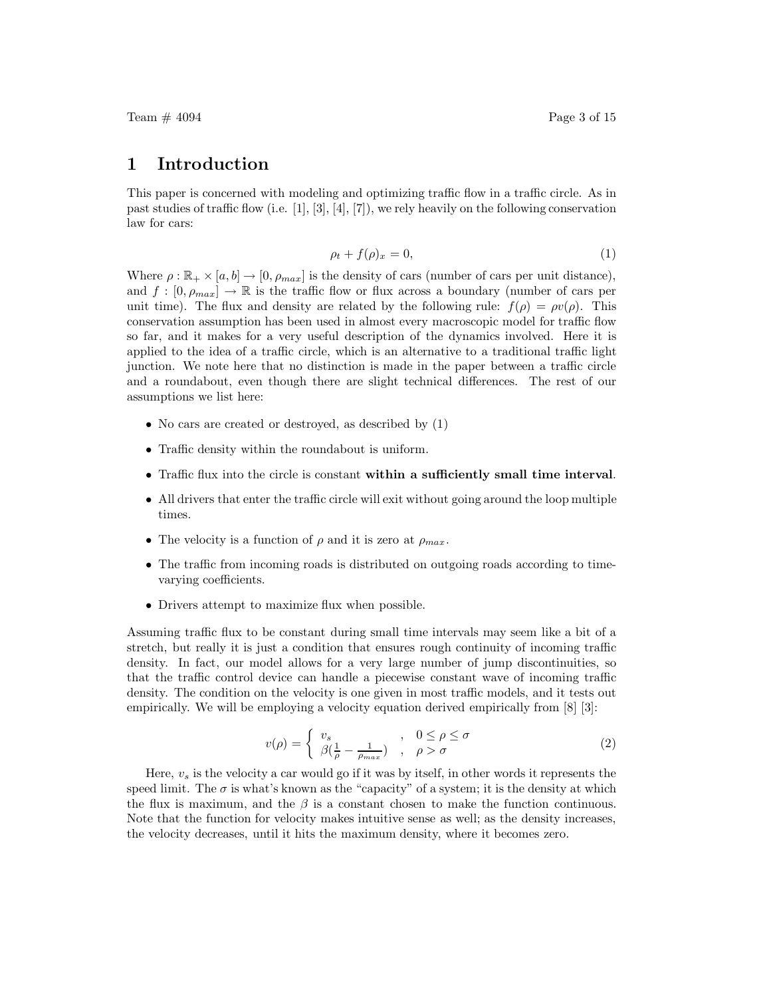Team  $\#$  4094 Page 3 of 15

#### 1 Introduction

This paper is concerned with modeling and optimizing traffic flow in a traffic circle. As in past studies of traffic flow (i.e. [1], [3], [4], [7]), we rely heavily on the following conservation law for cars:

$$
\rho_t + f(\rho)_x = 0,\tag{1}
$$

Where  $\rho : \mathbb{R}_+ \times [a, b] \to [0, \rho_{max}]$  is the density of cars (number of cars per unit distance), and  $f : [0, \rho_{max}] \to \mathbb{R}$  is the traffic flow or flux across a boundary (number of cars per unit time). The flux and density are related by the following rule:  $f(\rho) = \rho v(\rho)$ . This conservation assumption has been used in almost every macroscopic model for traffic flow so far, and it makes for a very useful description of the dynamics involved. Here it is applied to the idea of a traffic circle, which is an alternative to a traditional traffic light junction. We note here that no distinction is made in the paper between a traffic circle and a roundabout, even though there are slight technical differences. The rest of our assumptions we list here:

- No cars are created or destroyed, as described by  $(1)$
- Traffic density within the roundabout is uniform.
- Traffic flux into the circle is constant within a sufficiently small time interval.
- All drivers that enter the traffic circle will exit without going around the loop multiple times.
- The velocity is a function of  $\rho$  and it is zero at  $\rho_{max}$ .
- The traffic from incoming roads is distributed on outgoing roads according to timevarying coefficients.
- Drivers attempt to maximize flux when possible.

Assuming traffic flux to be constant during small time intervals may seem like a bit of a stretch, but really it is just a condition that ensures rough continuity of incoming traffic density. In fact, our model allows for a very large number of jump discontinuities, so that the traffic control device can handle a piecewise constant wave of incoming traffic density. The condition on the velocity is one given in most traffic models, and it tests out empirically. We will be employing a velocity equation derived empirically from [8] [3]:

$$
v(\rho) = \begin{cases} v_s & , & 0 \le \rho \le \sigma \\ \beta(\frac{1}{\rho} - \frac{1}{\rho_{max}}) & , & \rho > \sigma \end{cases}
$$
 (2)

Here,  $v_s$  is the velocity a car would go if it was by itself, in other words it represents the speed limit. The  $\sigma$  is what's known as the "capacity" of a system; it is the density at which the flux is maximum, and the  $\beta$  is a constant chosen to make the function continuous. Note that the function for velocity makes intuitive sense as well; as the density increases, the velocity decreases, until it hits the maximum density, where it becomes zero.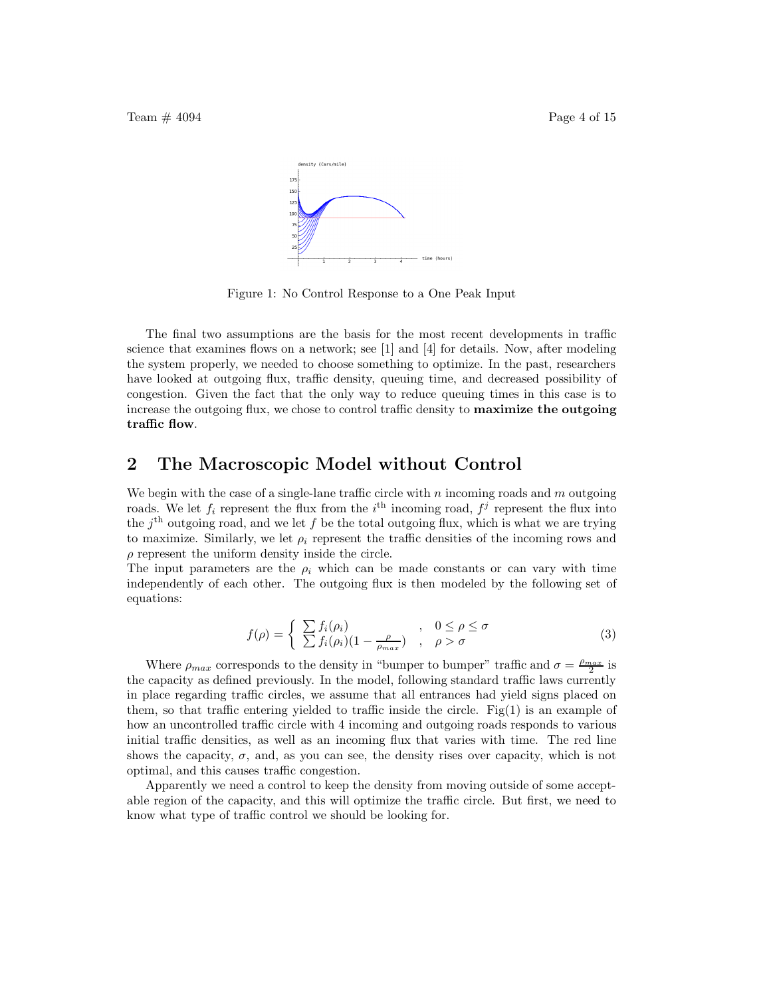Team  $\#$  4094 Page 4 of 15



Figure 1: No Control Response to a One Peak Input

The final two assumptions are the basis for the most recent developments in traffic science that examines flows on a network; see [1] and [4] for details. Now, after modeling the system properly, we needed to choose something to optimize. In the past, researchers have looked at outgoing flux, traffic density, queuing time, and decreased possibility of congestion. Given the fact that the only way to reduce queuing times in this case is to increase the outgoing flux, we chose to control traffic density to **maximize the outgoing** traffic flow.

## 2 The Macroscopic Model without Control

We begin with the case of a single-lane traffic circle with n incoming roads and  $m$  outgoing roads. We let  $f_i$  represent the flux from the  $i^{\text{th}}$  incoming road,  $f^j$  represent the flux into the  $j<sup>th</sup>$  outgoing road, and we let f be the total outgoing flux, which is what we are trying to maximize. Similarly, we let  $\rho_i$  represent the traffic densities of the incoming rows and  $\rho$  represent the uniform density inside the circle.

The input parameters are the  $\rho_i$  which can be made constants or can vary with time independently of each other. The outgoing flux is then modeled by the following set of equations:

$$
f(\rho) = \begin{cases} \sum f_i(\rho_i) & , \quad 0 \le \rho \le \sigma \\ \sum f_i(\rho_i)(1 - \frac{\rho}{\rho_{max}}) & , \quad \rho > \sigma \end{cases}
$$
 (3)

Where  $\rho_{max}$  corresponds to the density in "bumper to bumper" traffic and  $\sigma = \frac{\rho_{max}}{2}$  is the capacity as defined previously. In the model, following standard traffic laws currently in place regarding traffic circles, we assume that all entrances had yield signs placed on them, so that traffic entering yielded to traffic inside the circle. Fig $(1)$  is an example of how an uncontrolled traffic circle with 4 incoming and outgoing roads responds to various initial traffic densities, as well as an incoming flux that varies with time. The red line shows the capacity,  $\sigma$ , and, as you can see, the density rises over capacity, which is not optimal, and this causes traffic congestion.

Apparently we need a control to keep the density from moving outside of some acceptable region of the capacity, and this will optimize the traffic circle. But first, we need to know what type of traffic control we should be looking for.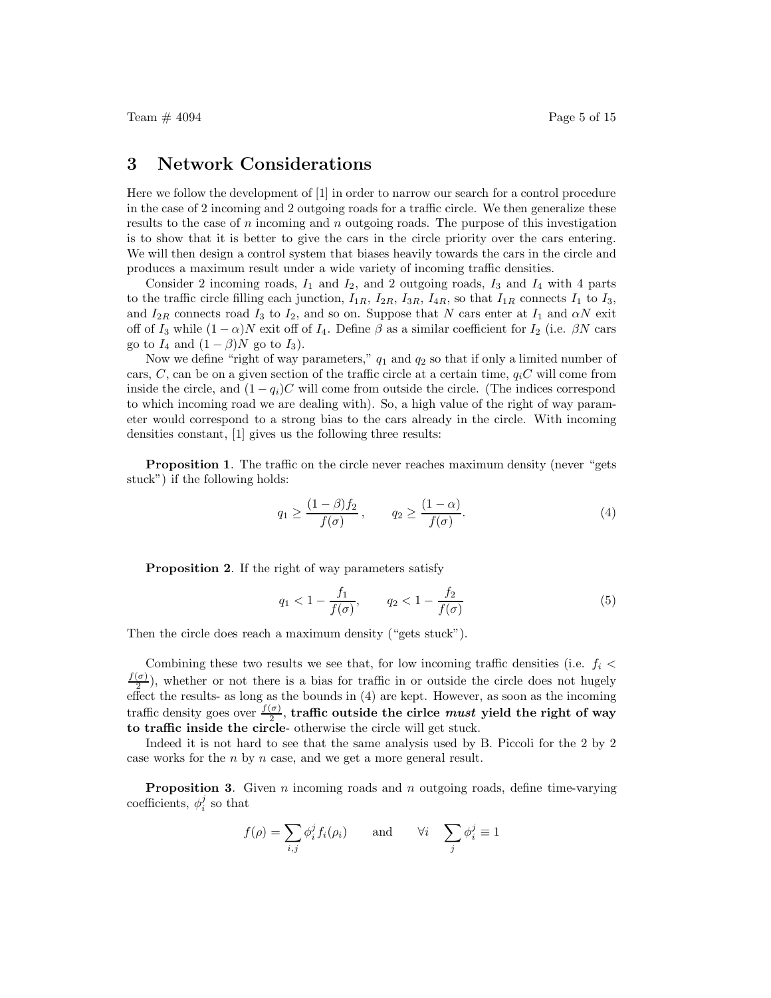Team  $\#$  4094 Page 5 of 15

### 3 Network Considerations

Here we follow the development of [1] in order to narrow our search for a control procedure in the case of 2 incoming and 2 outgoing roads for a traffic circle. We then generalize these results to the case of n incoming and n outgoing roads. The purpose of this investigation is to show that it is better to give the cars in the circle priority over the cars entering. We will then design a control system that biases heavily towards the cars in the circle and produces a maximum result under a wide variety of incoming traffic densities.

Consider 2 incoming roads,  $I_1$  and  $I_2$ , and 2 outgoing roads,  $I_3$  and  $I_4$  with 4 parts to the traffic circle filling each junction,  $I_{1R}$ ,  $I_{2R}$ ,  $I_{3R}$ ,  $I_{4R}$ , so that  $I_{1R}$  connects  $I_1$  to  $I_3$ , and  $I_{2R}$  connects road  $I_3$  to  $I_2$ , and so on. Suppose that N cars enter at  $I_1$  and  $\alpha N$  exit off of  $I_3$  while  $(1 - \alpha)N$  exit off of  $I_4$ . Define  $\beta$  as a similar coefficient for  $I_2$  (i.e.  $\beta N$  cars go to  $I_4$  and  $(1 - \beta)N$  go to  $I_3$ ).

Now we define "right of way parameters,"  $q_1$  and  $q_2$  so that if only a limited number of cars, C, can be on a given section of the traffic circle at a certain time,  $q_iC$  will come from inside the circle, and  $(1 - q_i)C$  will come from outside the circle. (The indices correspond to which incoming road we are dealing with). So, a high value of the right of way parameter would correspond to a strong bias to the cars already in the circle. With incoming densities constant, [1] gives us the following three results:

Proposition 1. The traffic on the circle never reaches maximum density (never "gets stuck") if the following holds:

$$
q_1 \ge \frac{(1-\beta)f_2}{f(\sigma)}, \qquad q_2 \ge \frac{(1-\alpha)}{f(\sigma)}.
$$
 (4)

Proposition 2. If the right of way parameters satisfy

$$
q_1 < 1 - \frac{f_1}{f(\sigma)}, \qquad q_2 < 1 - \frac{f_2}{f(\sigma)}\tag{5}
$$

Then the circle does reach a maximum density ("gets stuck").

Combining these two results we see that, for low incoming traffic densities (i.e.  $f_i$  <  $f(\sigma)$  $\frac{1}{2}$ , whether or not there is a bias for traffic in or outside the circle does not hugely effect the results- as long as the bounds in (4) are kept. However, as soon as the incoming traffic density goes over  $\frac{f(\sigma)}{2}$ , traffic outside the circle must yield the right of way to traffic inside the circle- otherwise the circle will get stuck.

Indeed it is not hard to see that the same analysis used by B. Piccoli for the 2 by 2 case works for the n by n case, and we get a more general result.

**Proposition 3.** Given n incoming roads and n outgoing roads, define time-varying coefficients,  $\phi_i^j$  so that

$$
f(\rho) = \sum_{i,j} \phi_i^j f_i(\rho_i) \quad \text{and} \quad \forall i \quad \sum_j \phi_i^j \equiv 1
$$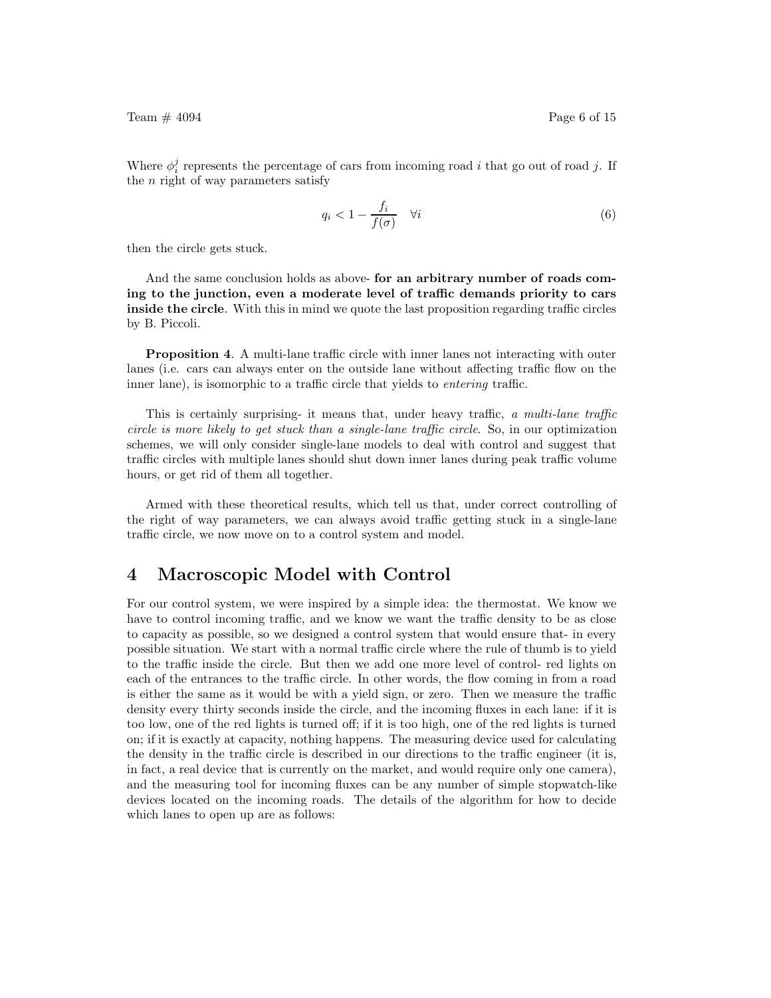Where  $\phi_i^j$  represents the percentage of cars from incoming road i that go out of road j. If the  $n$  right of way parameters satisfy

$$
q_i < 1 - \frac{f_i}{f(\sigma)} \quad \forall i \tag{6}
$$

then the circle gets stuck.

And the same conclusion holds as above- for an arbitrary number of roads coming to the junction, even a moderate level of traffic demands priority to cars inside the circle. With this in mind we quote the last proposition regarding traffic circles by B. Piccoli.

Proposition 4. A multi-lane traffic circle with inner lanes not interacting with outer lanes (i.e. cars can always enter on the outside lane without affecting traffic flow on the inner lane), is isomorphic to a traffic circle that yields to *entering* traffic.

This is certainly surprising- it means that, under heavy traffic, a multi-lane traffic circle is more likely to get stuck than a single-lane traffic circle. So, in our optimization schemes, we will only consider single-lane models to deal with control and suggest that traffic circles with multiple lanes should shut down inner lanes during peak traffic volume hours, or get rid of them all together.

Armed with these theoretical results, which tell us that, under correct controlling of the right of way parameters, we can always avoid traffic getting stuck in a single-lane traffic circle, we now move on to a control system and model.

## 4 Macroscopic Model with Control

For our control system, we were inspired by a simple idea: the thermostat. We know we have to control incoming traffic, and we know we want the traffic density to be as close to capacity as possible, so we designed a control system that would ensure that- in every possible situation. We start with a normal traffic circle where the rule of thumb is to yield to the traffic inside the circle. But then we add one more level of control- red lights on each of the entrances to the traffic circle. In other words, the flow coming in from a road is either the same as it would be with a yield sign, or zero. Then we measure the traffic density every thirty seconds inside the circle, and the incoming fluxes in each lane: if it is too low, one of the red lights is turned off; if it is too high, one of the red lights is turned on; if it is exactly at capacity, nothing happens. The measuring device used for calculating the density in the traffic circle is described in our directions to the traffic engineer (it is, in fact, a real device that is currently on the market, and would require only one camera), and the measuring tool for incoming fluxes can be any number of simple stopwatch-like devices located on the incoming roads. The details of the algorithm for how to decide which lanes to open up are as follows: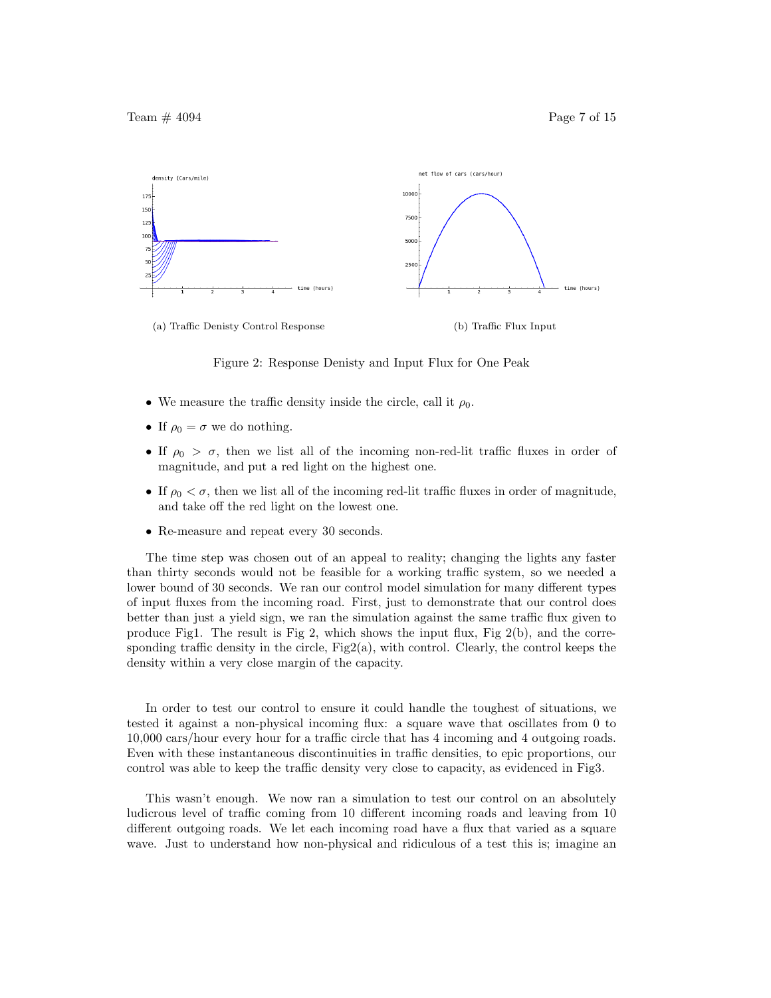

Figure 2: Response Denisty and Input Flux for One Peak

- We measure the traffic density inside the circle, call it  $\rho_0$ .
- If  $\rho_0 = \sigma$  we do nothing.
- If  $\rho_0 > \sigma$ , then we list all of the incoming non-red-lit traffic fluxes in order of magnitude, and put a red light on the highest one.
- If  $\rho_0 < \sigma$ , then we list all of the incoming red-lit traffic fluxes in order of magnitude, and take off the red light on the lowest one.
- Re-measure and repeat every 30 seconds.

The time step was chosen out of an appeal to reality; changing the lights any faster than thirty seconds would not be feasible for a working traffic system, so we needed a lower bound of 30 seconds. We ran our control model simulation for many different types of input fluxes from the incoming road. First, just to demonstrate that our control does better than just a yield sign, we ran the simulation against the same traffic flux given to produce Fig1. The result is Fig 2, which shows the input flux, Fig  $2(b)$ , and the corresponding traffic density in the circle,  $Fig2(a)$ , with control. Clearly, the control keeps the density within a very close margin of the capacity.

In order to test our control to ensure it could handle the toughest of situations, we tested it against a non-physical incoming flux: a square wave that oscillates from 0 to 10,000 cars/hour every hour for a traffic circle that has 4 incoming and 4 outgoing roads. Even with these instantaneous discontinuities in traffic densities, to epic proportions, our control was able to keep the traffic density very close to capacity, as evidenced in Fig3.

This wasn't enough. We now ran a simulation to test our control on an absolutely ludicrous level of traffic coming from 10 different incoming roads and leaving from 10 different outgoing roads. We let each incoming road have a flux that varied as a square wave. Just to understand how non-physical and ridiculous of a test this is; imagine an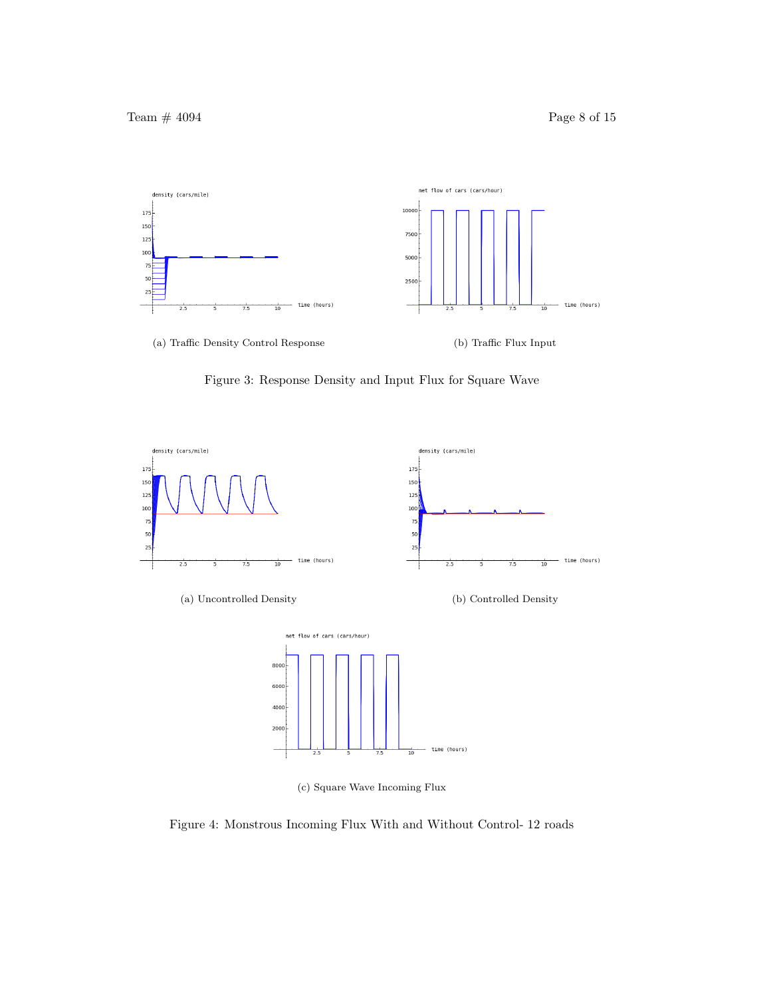

Figure 3: Response Density and Input Flux for Square Wave



(c) Square Wave Incoming Flux

Figure 4: Monstrous Incoming Flux With and Without Control- 12 roads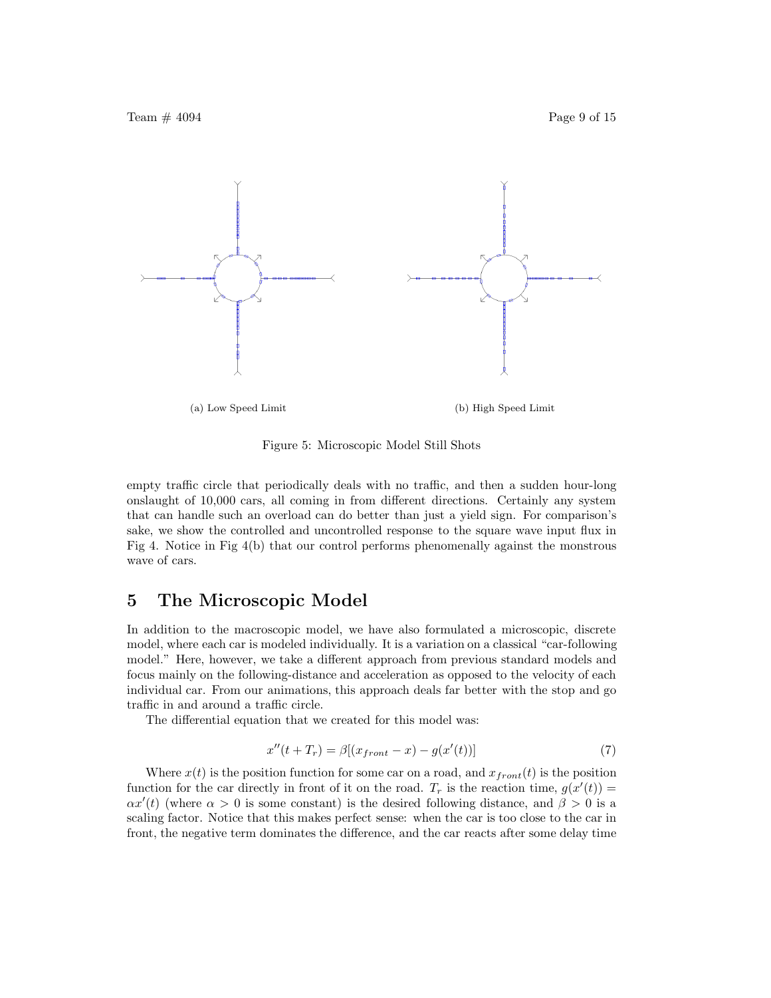

Figure 5: Microscopic Model Still Shots

empty traffic circle that periodically deals with no traffic, and then a sudden hour-long onslaught of 10,000 cars, all coming in from different directions. Certainly any system that can handle such an overload can do better than just a yield sign. For comparison's sake, we show the controlled and uncontrolled response to the square wave input flux in Fig 4. Notice in Fig 4(b) that our control performs phenomenally against the monstrous wave of cars.

## 5 The Microscopic Model

In addition to the macroscopic model, we have also formulated a microscopic, discrete model, where each car is modeled individually. It is a variation on a classical "car-following model." Here, however, we take a different approach from previous standard models and focus mainly on the following-distance and acceleration as opposed to the velocity of each individual car. From our animations, this approach deals far better with the stop and go traffic in and around a traffic circle.

The differential equation that we created for this model was:

$$
x''(t+T_r) = \beta[(x_{front} - x) - g(x'(t))]
$$
\n(7)

Where  $x(t)$  is the position function for some car on a road, and  $x_{front}(t)$  is the position function for the car directly in front of it on the road.  $T_r$  is the reaction time,  $g(x'(t)) =$  $\alpha x'(t)$  (where  $\alpha > 0$  is some constant) is the desired following distance, and  $\beta > 0$  is a scaling factor. Notice that this makes perfect sense: when the car is too close to the car in front, the negative term dominates the difference, and the car reacts after some delay time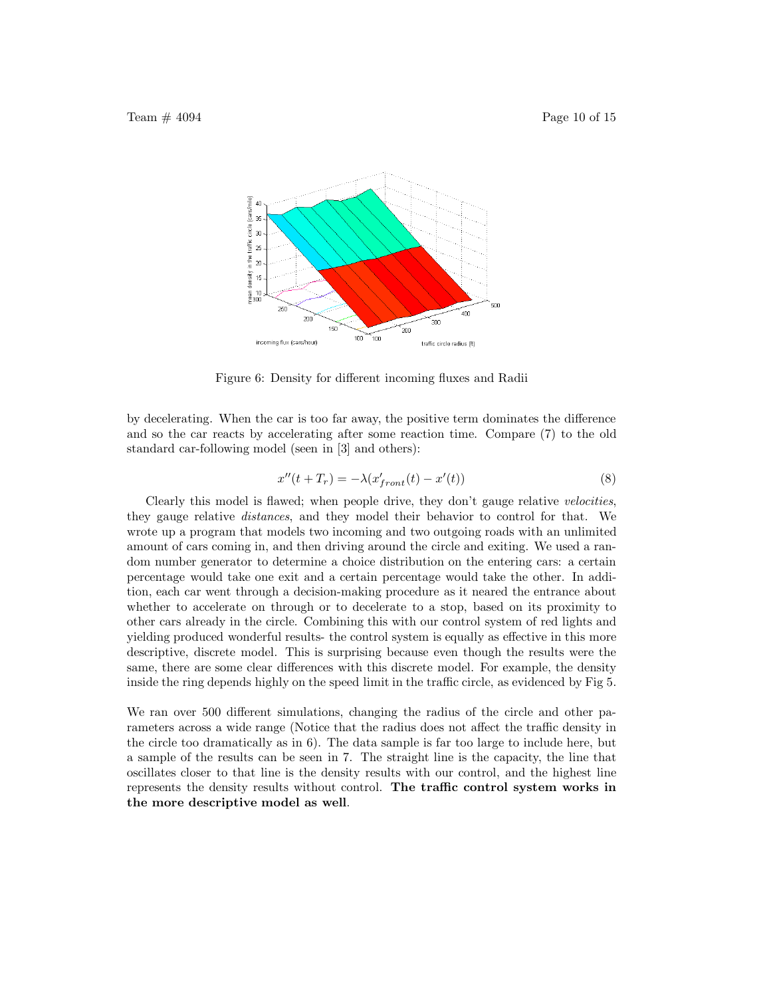

Figure 6: Density for different incoming fluxes and Radii

by decelerating. When the car is too far away, the positive term dominates the difference and so the car reacts by accelerating after some reaction time. Compare (7) to the old standard car-following model (seen in [3] and others):

$$
x''(t+T_r) = -\lambda(x'_{front}(t) - x'(t))
$$
\n(8)

Clearly this model is flawed; when people drive, they don't gauge relative velocities, they gauge relative distances, and they model their behavior to control for that. We wrote up a program that models two incoming and two outgoing roads with an unlimited amount of cars coming in, and then driving around the circle and exiting. We used a random number generator to determine a choice distribution on the entering cars: a certain percentage would take one exit and a certain percentage would take the other. In addition, each car went through a decision-making procedure as it neared the entrance about whether to accelerate on through or to decelerate to a stop, based on its proximity to other cars already in the circle. Combining this with our control system of red lights and yielding produced wonderful results- the control system is equally as effective in this more descriptive, discrete model. This is surprising because even though the results were the same, there are some clear differences with this discrete model. For example, the density inside the ring depends highly on the speed limit in the traffic circle, as evidenced by Fig 5.

We ran over 500 different simulations, changing the radius of the circle and other parameters across a wide range (Notice that the radius does not affect the traffic density in the circle too dramatically as in 6). The data sample is far too large to include here, but a sample of the results can be seen in 7. The straight line is the capacity, the line that oscillates closer to that line is the density results with our control, and the highest line represents the density results without control. The traffic control system works in the more descriptive model as well.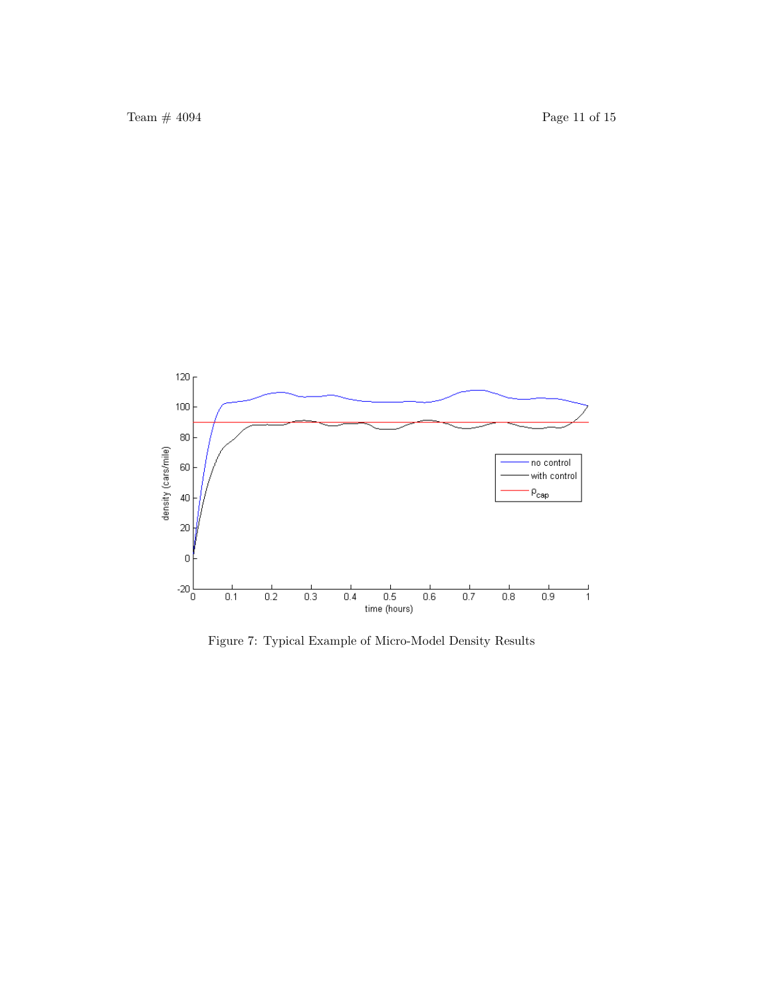

Figure 7: Typical Example of Micro-Model Density Results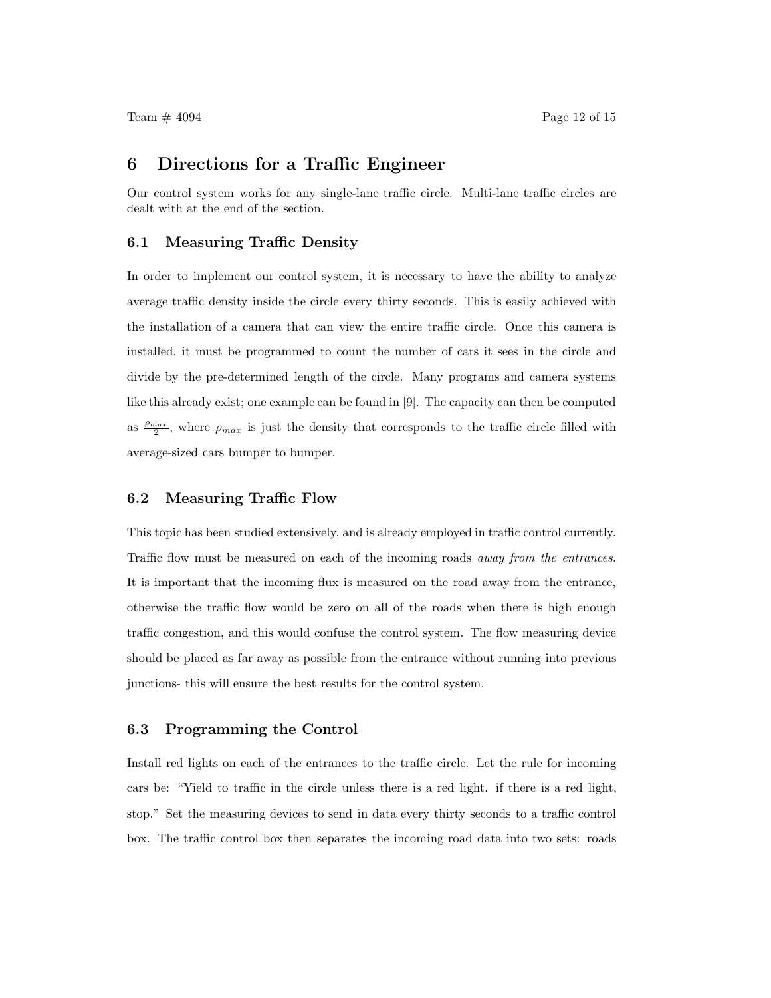### 6 Directions for a Traffic Engineer

Our control system works for any single-lane traffic circle. Multi-lane traffic circles are dealt with at the end of the section.

#### 6.1 Measuring Traffic Density

In order to implement our control system, it is necessary to have the ability to analyze average traffic density inside the circle every thirty seconds. This is easily achieved with the installation of a camera that can view the entire traffic circle. Once this camera is installed, it must be programmed to count the number of cars it sees in the circle and divide by the pre-determined length of the circle. Many programs and camera systems like this already exist; one example can be found in [9]. The capacity can then be computed as  $\frac{\rho_{max}}{2}$  $\frac{2^{n}a^{n}}{2}$ , where  $\rho_{max}$  is just the density that corresponds to the traffic circle filled with average-sized cars bumper to bumper.

#### 6.2 Measuring Traffic Flow

This topic has been studied extensively, and is already employed in traffic control currently. Traffic flow must be measured on each of the incoming roads away from the entrances. It is important that the incoming flux is measured on the road away from the entrance, otherwise the traffic flow would be zero on all of the roads when there is high enough traffic congestion, and this would confuse the control system. The flow measuring device should be placed as far away as possible from the entrance without running into previous junctions- this will ensure the best results for the control system.

#### 6.3 Programming the Control

Install red lights on each of the entrances to the traffic circle. Let the rule for incoming cars be: "Yield to traffic in the circle unless there is a red light. if there is a red light, stop." Set the measuring devices to send in data every thirty seconds to a traffic control box. The traffic control box then separates the incoming road data into two sets: roads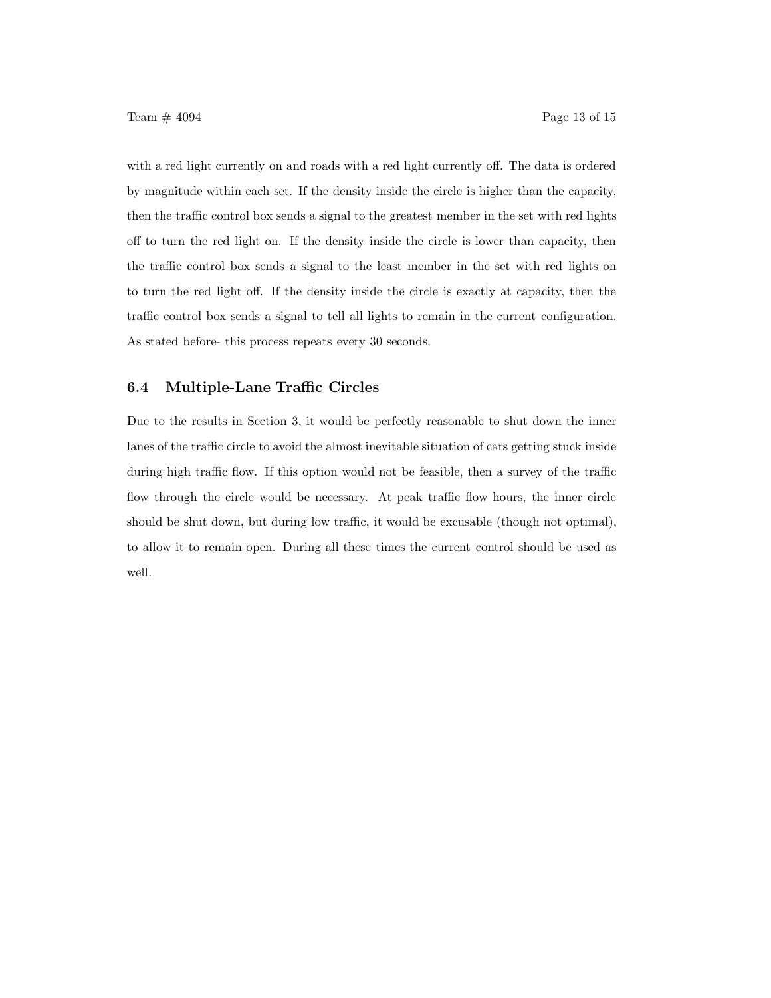with a red light currently on and roads with a red light currently off. The data is ordered by magnitude within each set. If the density inside the circle is higher than the capacity, then the traffic control box sends a signal to the greatest member in the set with red lights off to turn the red light on. If the density inside the circle is lower than capacity, then the traffic control box sends a signal to the least member in the set with red lights on to turn the red light off. If the density inside the circle is exactly at capacity, then the traffic control box sends a signal to tell all lights to remain in the current configuration. As stated before- this process repeats every 30 seconds.

#### 6.4 Multiple-Lane Traffic Circles

Due to the results in Section 3, it would be perfectly reasonable to shut down the inner lanes of the traffic circle to avoid the almost inevitable situation of cars getting stuck inside during high traffic flow. If this option would not be feasible, then a survey of the traffic flow through the circle would be necessary. At peak traffic flow hours, the inner circle should be shut down, but during low traffic, it would be excusable (though not optimal), to allow it to remain open. During all these times the current control should be used as well.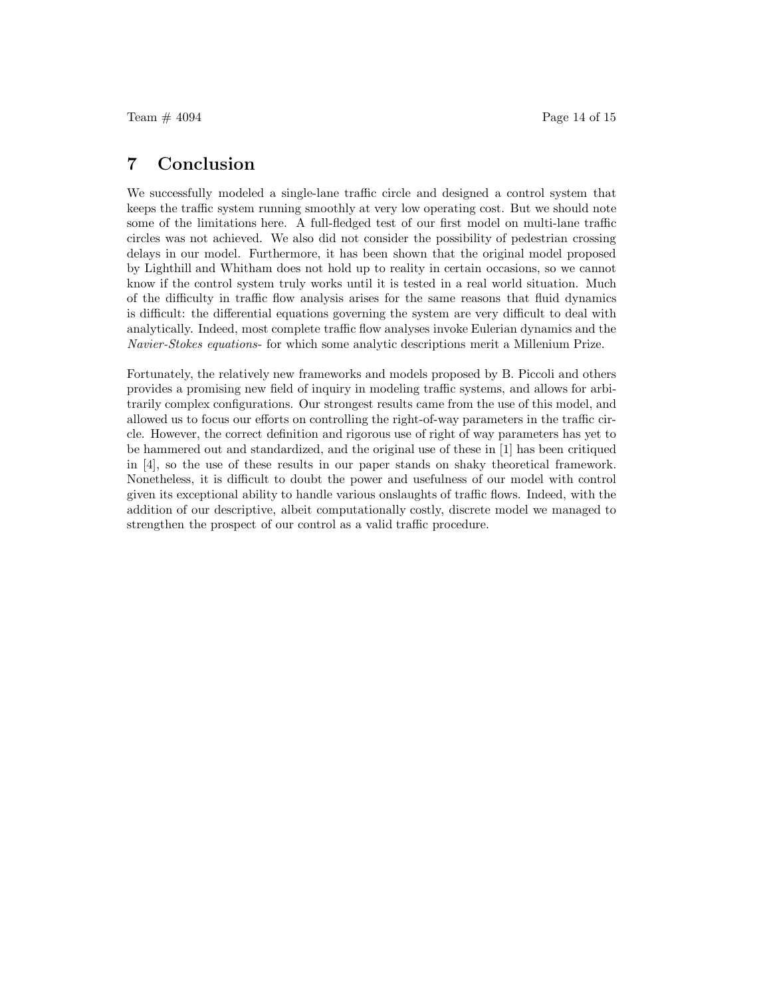### 7 Conclusion

We successfully modeled a single-lane traffic circle and designed a control system that keeps the traffic system running smoothly at very low operating cost. But we should note some of the limitations here. A full-fledged test of our first model on multi-lane traffic circles was not achieved. We also did not consider the possibility of pedestrian crossing delays in our model. Furthermore, it has been shown that the original model proposed by Lighthill and Whitham does not hold up to reality in certain occasions, so we cannot know if the control system truly works until it is tested in a real world situation. Much of the difficulty in traffic flow analysis arises for the same reasons that fluid dynamics is difficult: the differential equations governing the system are very difficult to deal with analytically. Indeed, most complete traffic flow analyses invoke Eulerian dynamics and the Navier-Stokes equations- for which some analytic descriptions merit a Millenium Prize.

Fortunately, the relatively new frameworks and models proposed by B. Piccoli and others provides a promising new field of inquiry in modeling traffic systems, and allows for arbitrarily complex configurations. Our strongest results came from the use of this model, and allowed us to focus our efforts on controlling the right-of-way parameters in the traffic circle. However, the correct definition and rigorous use of right of way parameters has yet to be hammered out and standardized, and the original use of these in [1] has been critiqued in [4], so the use of these results in our paper stands on shaky theoretical framework. Nonetheless, it is difficult to doubt the power and usefulness of our model with control given its exceptional ability to handle various onslaughts of traffic flows. Indeed, with the addition of our descriptive, albeit computationally costly, discrete model we managed to strengthen the prospect of our control as a valid traffic procedure.